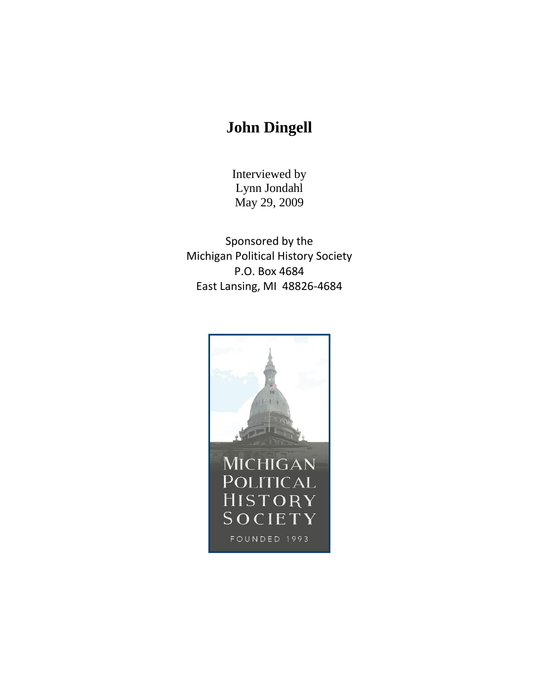## **John Dingell**

Interviewed by Lynn Jondahl May 29, 2009

Sponsored by the Michigan Political History Society P.O. Box 4684 East Lansing, MI 48826-4684

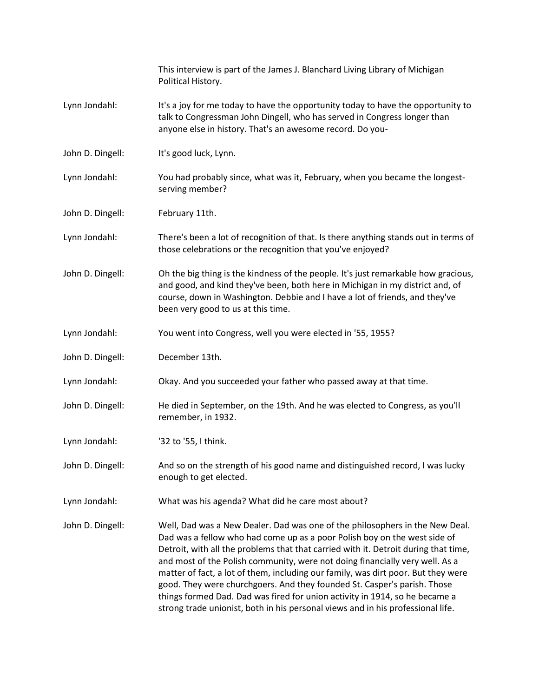|                  | This interview is part of the James J. Blanchard Living Library of Michigan<br>Political History.                                                                                                                                                                                                                                                                                                                                                                                                                                                                                                                                                                   |
|------------------|---------------------------------------------------------------------------------------------------------------------------------------------------------------------------------------------------------------------------------------------------------------------------------------------------------------------------------------------------------------------------------------------------------------------------------------------------------------------------------------------------------------------------------------------------------------------------------------------------------------------------------------------------------------------|
| Lynn Jondahl:    | It's a joy for me today to have the opportunity today to have the opportunity to<br>talk to Congressman John Dingell, who has served in Congress longer than<br>anyone else in history. That's an awesome record. Do you-                                                                                                                                                                                                                                                                                                                                                                                                                                           |
| John D. Dingell: | It's good luck, Lynn.                                                                                                                                                                                                                                                                                                                                                                                                                                                                                                                                                                                                                                               |
| Lynn Jondahl:    | You had probably since, what was it, February, when you became the longest-<br>serving member?                                                                                                                                                                                                                                                                                                                                                                                                                                                                                                                                                                      |
| John D. Dingell: | February 11th.                                                                                                                                                                                                                                                                                                                                                                                                                                                                                                                                                                                                                                                      |
| Lynn Jondahl:    | There's been a lot of recognition of that. Is there anything stands out in terms of<br>those celebrations or the recognition that you've enjoyed?                                                                                                                                                                                                                                                                                                                                                                                                                                                                                                                   |
| John D. Dingell: | Oh the big thing is the kindness of the people. It's just remarkable how gracious,<br>and good, and kind they've been, both here in Michigan in my district and, of<br>course, down in Washington. Debbie and I have a lot of friends, and they've<br>been very good to us at this time.                                                                                                                                                                                                                                                                                                                                                                            |
| Lynn Jondahl:    | You went into Congress, well you were elected in '55, 1955?                                                                                                                                                                                                                                                                                                                                                                                                                                                                                                                                                                                                         |
| John D. Dingell: | December 13th.                                                                                                                                                                                                                                                                                                                                                                                                                                                                                                                                                                                                                                                      |
| Lynn Jondahl:    | Okay. And you succeeded your father who passed away at that time.                                                                                                                                                                                                                                                                                                                                                                                                                                                                                                                                                                                                   |
| John D. Dingell: | He died in September, on the 19th. And he was elected to Congress, as you'll<br>remember, in 1932.                                                                                                                                                                                                                                                                                                                                                                                                                                                                                                                                                                  |
| Lynn Jondahl:    | '32 to '55, I think.                                                                                                                                                                                                                                                                                                                                                                                                                                                                                                                                                                                                                                                |
| John D. Dingell: | And so on the strength of his good name and distinguished record, I was lucky<br>enough to get elected.                                                                                                                                                                                                                                                                                                                                                                                                                                                                                                                                                             |
| Lynn Jondahl:    | What was his agenda? What did he care most about?                                                                                                                                                                                                                                                                                                                                                                                                                                                                                                                                                                                                                   |
| John D. Dingell: | Well, Dad was a New Dealer. Dad was one of the philosophers in the New Deal.<br>Dad was a fellow who had come up as a poor Polish boy on the west side of<br>Detroit, with all the problems that that carried with it. Detroit during that time,<br>and most of the Polish community, were not doing financially very well. As a<br>matter of fact, a lot of them, including our family, was dirt poor. But they were<br>good. They were churchgoers. And they founded St. Casper's parish. Those<br>things formed Dad. Dad was fired for union activity in 1914, so he became a<br>strong trade unionist, both in his personal views and in his professional life. |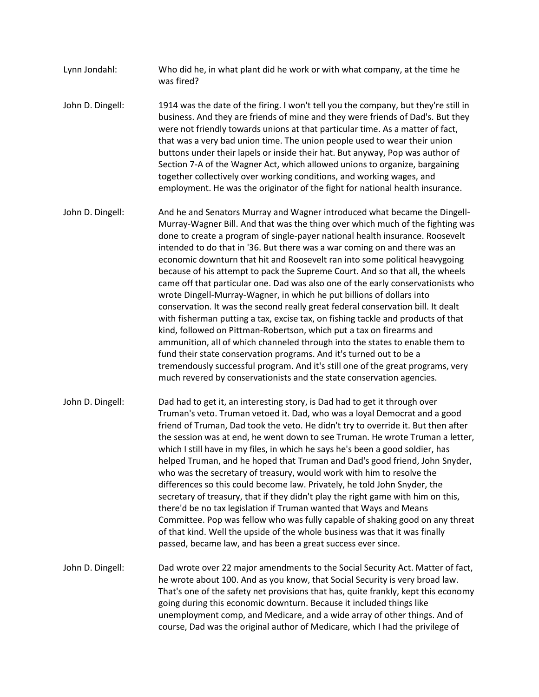Lynn Jondahl: Who did he, in what plant did he work or with what company, at the time he was fired?

John D. Dingell: 1914 was the date of the firing. I won't tell you the company, but they're still in business. And they are friends of mine and they were friends of Dad's. But they were not friendly towards unions at that particular time. As a matter of fact, that was a very bad union time. The union people used to wear their union buttons under their lapels or inside their hat. But anyway, Pop was author of Section 7-A of the Wagner Act, which allowed unions to organize, bargaining together collectively over working conditions, and working wages, and employment. He was the originator of the fight for national health insurance.

- John D. Dingell: And he and Senators Murray and Wagner introduced what became the Dingell-Murray-Wagner Bill. And that was the thing over which much of the fighting was done to create a program of single-payer national health insurance. Roosevelt intended to do that in '36. But there was a war coming on and there was an economic downturn that hit and Roosevelt ran into some political heavygoing because of his attempt to pack the Supreme Court. And so that all, the wheels came off that particular one. Dad was also one of the early conservationists who wrote Dingell-Murray-Wagner, in which he put billions of dollars into conservation. It was the second really great federal conservation bill. It dealt with fisherman putting a tax, excise tax, on fishing tackle and products of that kind, followed on Pittman-Robertson, which put a tax on firearms and ammunition, all of which channeled through into the states to enable them to fund their state conservation programs. And it's turned out to be a tremendously successful program. And it's still one of the great programs, very much revered by conservationists and the state conservation agencies.
- John D. Dingell: Dad had to get it, an interesting story, is Dad had to get it through over Truman's veto. Truman vetoed it. Dad, who was a loyal Democrat and a good friend of Truman, Dad took the veto. He didn't try to override it. But then after the session was at end, he went down to see Truman. He wrote Truman a letter, which I still have in my files, in which he says he's been a good soldier, has helped Truman, and he hoped that Truman and Dad's good friend, John Snyder, who was the secretary of treasury, would work with him to resolve the differences so this could become law. Privately, he told John Snyder, the secretary of treasury, that if they didn't play the right game with him on this, there'd be no tax legislation if Truman wanted that Ways and Means Committee. Pop was fellow who was fully capable of shaking good on any threat of that kind. Well the upside of the whole business was that it was finally passed, became law, and has been a great success ever since.

John D. Dingell: Dad wrote over 22 major amendments to the Social Security Act. Matter of fact, he wrote about 100. And as you know, that Social Security is very broad law. That's one of the safety net provisions that has, quite frankly, kept this economy going during this economic downturn. Because it included things like unemployment comp, and Medicare, and a wide array of other things. And of course, Dad was the original author of Medicare, which I had the privilege of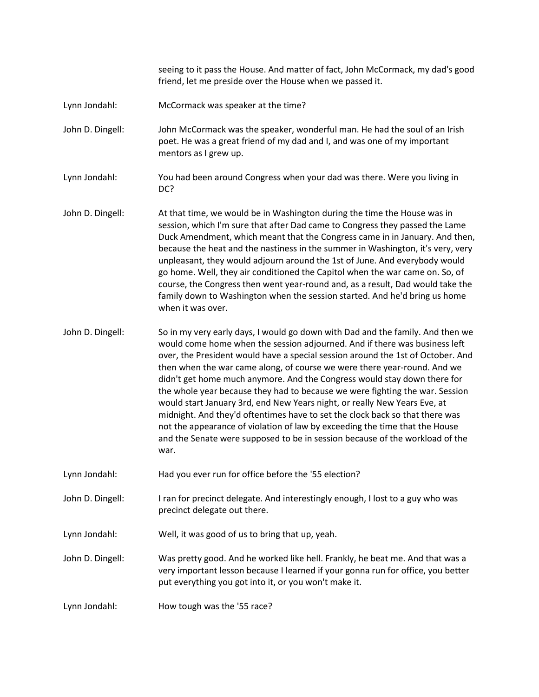seeing to it pass the House. And matter of fact, John McCormack, my dad's good friend, let me preside over the House when we passed it.

Lynn Jondahl: McCormack was speaker at the time?

John D. Dingell: John McCormack was the speaker, wonderful man. He had the soul of an Irish poet. He was a great friend of my dad and I, and was one of my important mentors as I grew up.

Lynn Jondahl: You had been around Congress when your dad was there. Were you living in DC?

John D. Dingell: At that time, we would be in Washington during the time the House was in session, which I'm sure that after Dad came to Congress they passed the Lame Duck Amendment, which meant that the Congress came in in January. And then, because the heat and the nastiness in the summer in Washington, it's very, very unpleasant, they would adjourn around the 1st of June. And everybody would go home. Well, they air conditioned the Capitol when the war came on. So, of course, the Congress then went year-round and, as a result, Dad would take the family down to Washington when the session started. And he'd bring us home when it was over.

John D. Dingell: So in my very early days, I would go down with Dad and the family. And then we would come home when the session adjourned. And if there was business left over, the President would have a special session around the 1st of October. And then when the war came along, of course we were there year-round. And we didn't get home much anymore. And the Congress would stay down there for the whole year because they had to because we were fighting the war. Session would start January 3rd, end New Years night, or really New Years Eve, at midnight. And they'd oftentimes have to set the clock back so that there was not the appearance of violation of law by exceeding the time that the House and the Senate were supposed to be in session because of the workload of the war.

Lynn Jondahl: Had you ever run for office before the '55 election?

John D. Dingell: I ran for precinct delegate. And interestingly enough, I lost to a guy who was precinct delegate out there.

Lynn Jondahl: Well, it was good of us to bring that up, yeah.

John D. Dingell: Was pretty good. And he worked like hell. Frankly, he beat me. And that was a very important lesson because I learned if your gonna run for office, you better put everything you got into it, or you won't make it.

Lynn Jondahl: How tough was the '55 race?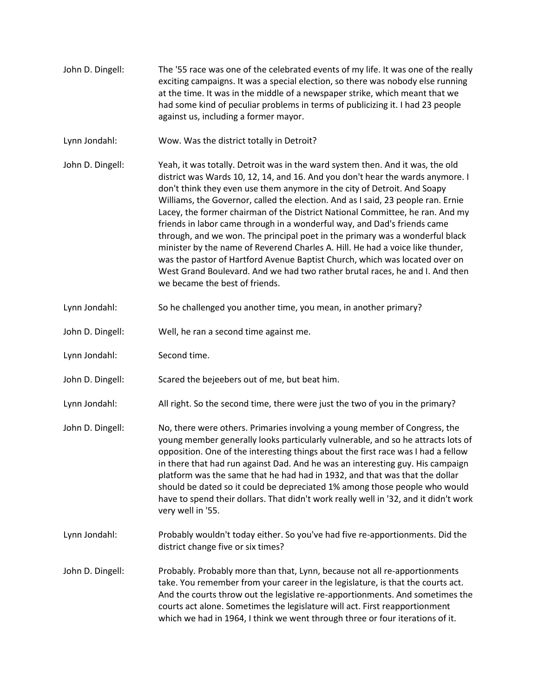John D. Dingell: The '55 race was one of the celebrated events of my life. It was one of the really exciting campaigns. It was a special election, so there was nobody else running at the time. It was in the middle of a newspaper strike, which meant that we had some kind of peculiar problems in terms of publicizing it. I had 23 people against us, including a former mayor. Lynn Jondahl: Wow. Was the district totally in Detroit? John D. Dingell: Yeah, it was totally. Detroit was in the ward system then. And it was, the old district was Wards 10, 12, 14, and 16. And you don't hear the wards anymore. I don't think they even use them anymore in the city of Detroit. And Soapy Williams, the Governor, called the election. And as I said, 23 people ran. Ernie Lacey, the former chairman of the District National Committee, he ran. And my friends in labor came through in a wonderful way, and Dad's friends came through, and we won. The principal poet in the primary was a wonderful black minister by the name of Reverend Charles A. Hill. He had a voice like thunder, was the pastor of Hartford Avenue Baptist Church, which was located over on West Grand Boulevard. And we had two rather brutal races, he and I. And then we became the best of friends. Lynn Jondahl: So he challenged you another time, you mean, in another primary? John D. Dingell: Well, he ran a second time against me. Lynn Jondahl: Second time. John D. Dingell: Scared the bejeebers out of me, but beat him. Lynn Jondahl: All right. So the second time, there were just the two of you in the primary? John D. Dingell: No, there were others. Primaries involving a young member of Congress, the young member generally looks particularly vulnerable, and so he attracts lots of opposition. One of the interesting things about the first race was I had a fellow in there that had run against Dad. And he was an interesting guy. His campaign platform was the same that he had had in 1932, and that was that the dollar should be dated so it could be depreciated 1% among those people who would have to spend their dollars. That didn't work really well in '32, and it didn't work very well in '55. Lynn Jondahl: Probably wouldn't today either. So you've had five re-apportionments. Did the district change five or six times? John D. Dingell: Probably. Probably more than that, Lynn, because not all re-apportionments take. You remember from your career in the legislature, is that the courts act. And the courts throw out the legislative re-apportionments. And sometimes the courts act alone. Sometimes the legislature will act. First reapportionment which we had in 1964, I think we went through three or four iterations of it.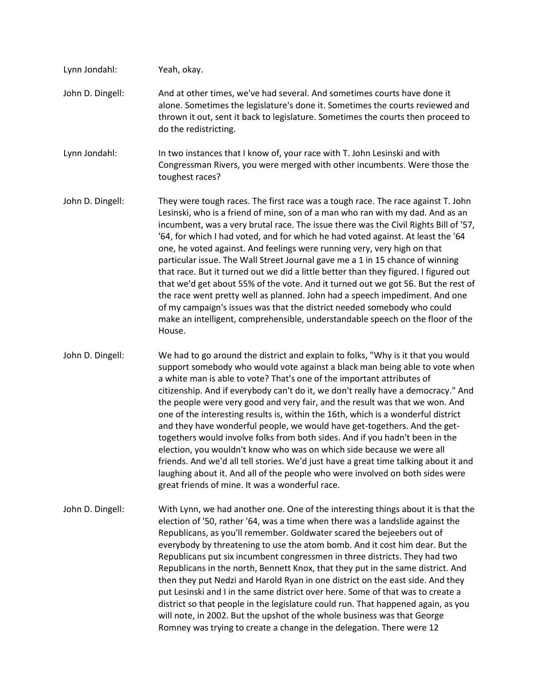| Lynn Jondahl:    | Yeah, okay.                                                                                                                                                                                                                                                                                                                                                                                                                                                                                                                                                                                                                                                                                                                                                                                                                                                                                                                                                           |
|------------------|-----------------------------------------------------------------------------------------------------------------------------------------------------------------------------------------------------------------------------------------------------------------------------------------------------------------------------------------------------------------------------------------------------------------------------------------------------------------------------------------------------------------------------------------------------------------------------------------------------------------------------------------------------------------------------------------------------------------------------------------------------------------------------------------------------------------------------------------------------------------------------------------------------------------------------------------------------------------------|
| John D. Dingell: | And at other times, we've had several. And sometimes courts have done it<br>alone. Sometimes the legislature's done it. Sometimes the courts reviewed and<br>thrown it out, sent it back to legislature. Sometimes the courts then proceed to<br>do the redistricting.                                                                                                                                                                                                                                                                                                                                                                                                                                                                                                                                                                                                                                                                                                |
| Lynn Jondahl:    | In two instances that I know of, your race with T. John Lesinski and with<br>Congressman Rivers, you were merged with other incumbents. Were those the<br>toughest races?                                                                                                                                                                                                                                                                                                                                                                                                                                                                                                                                                                                                                                                                                                                                                                                             |
| John D. Dingell: | They were tough races. The first race was a tough race. The race against T. John<br>Lesinski, who is a friend of mine, son of a man who ran with my dad. And as an<br>incumbent, was a very brutal race. The issue there was the Civil Rights Bill of '57,<br>'64, for which I had voted, and for which he had voted against. At least the '64<br>one, he voted against. And feelings were running very, very high on that<br>particular issue. The Wall Street Journal gave me a 1 in 15 chance of winning<br>that race. But it turned out we did a little better than they figured. I figured out<br>that we'd get about 55% of the vote. And it turned out we got 56. But the rest of<br>the race went pretty well as planned. John had a speech impediment. And one<br>of my campaign's issues was that the district needed somebody who could<br>make an intelligent, comprehensible, understandable speech on the floor of the<br>House.                        |
| John D. Dingell: | We had to go around the district and explain to folks, "Why is it that you would<br>support somebody who would vote against a black man being able to vote when<br>a white man is able to vote? That's one of the important attributes of<br>citizenship. And if everybody can't do it, we don't really have a democracy." And<br>the people were very good and very fair, and the result was that we won. And<br>one of the interesting results is, within the 16th, which is a wonderful district<br>and they have wonderful people, we would have get-togethers. And the get-<br>togethers would involve folks from both sides. And if you hadn't been in the<br>election, you wouldn't know who was on which side because we were all<br>friends. And we'd all tell stories. We'd just have a great time talking about it and<br>laughing about it. And all of the people who were involved on both sides were<br>great friends of mine. It was a wonderful race. |
| John D. Dingell: | With Lynn, we had another one. One of the interesting things about it is that the<br>election of '50, rather '64, was a time when there was a landslide against the<br>Republicans, as you'll remember. Goldwater scared the bejeebers out of<br>everybody by threatening to use the atom bomb. And it cost him dear. But the<br>Republicans put six incumbent congressmen in three districts. They had two<br>Republicans in the north, Bennett Knox, that they put in the same district. And<br>then they put Nedzi and Harold Ryan in one district on the east side. And they<br>put Lesinski and I in the same district over here. Some of that was to create a<br>district so that people in the legislature could run. That happened again, as you<br>will note, in 2002. But the upshot of the whole business was that George<br>Romney was trying to create a change in the delegation. There were 12                                                         |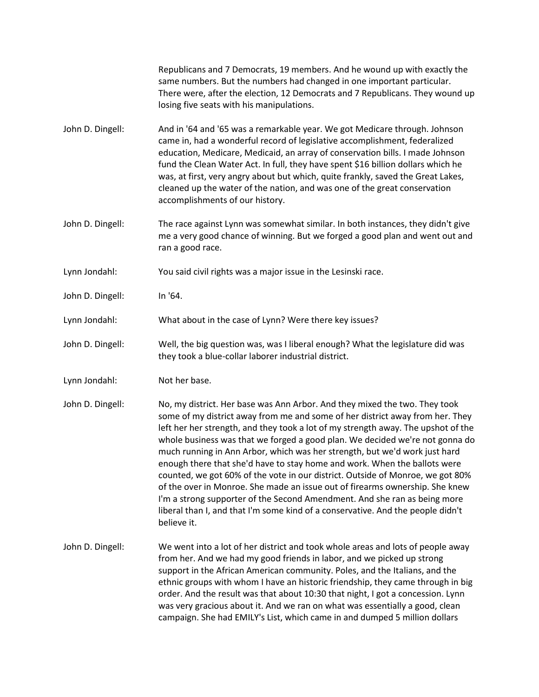|                  | Republicans and 7 Democrats, 19 members. And he wound up with exactly the<br>same numbers. But the numbers had changed in one important particular.<br>There were, after the election, 12 Democrats and 7 Republicans. They wound up<br>losing five seats with his manipulations.                                                                                                                                                                                                                                                                                                                                                                                                                                                                                                                                                            |
|------------------|----------------------------------------------------------------------------------------------------------------------------------------------------------------------------------------------------------------------------------------------------------------------------------------------------------------------------------------------------------------------------------------------------------------------------------------------------------------------------------------------------------------------------------------------------------------------------------------------------------------------------------------------------------------------------------------------------------------------------------------------------------------------------------------------------------------------------------------------|
| John D. Dingell: | And in '64 and '65 was a remarkable year. We got Medicare through. Johnson<br>came in, had a wonderful record of legislative accomplishment, federalized<br>education, Medicare, Medicaid, an array of conservation bills. I made Johnson<br>fund the Clean Water Act. In full, they have spent \$16 billion dollars which he<br>was, at first, very angry about but which, quite frankly, saved the Great Lakes,<br>cleaned up the water of the nation, and was one of the great conservation<br>accomplishments of our history.                                                                                                                                                                                                                                                                                                            |
| John D. Dingell: | The race against Lynn was somewhat similar. In both instances, they didn't give<br>me a very good chance of winning. But we forged a good plan and went out and<br>ran a good race.                                                                                                                                                                                                                                                                                                                                                                                                                                                                                                                                                                                                                                                          |
| Lynn Jondahl:    | You said civil rights was a major issue in the Lesinski race.                                                                                                                                                                                                                                                                                                                                                                                                                                                                                                                                                                                                                                                                                                                                                                                |
| John D. Dingell: | In '64.                                                                                                                                                                                                                                                                                                                                                                                                                                                                                                                                                                                                                                                                                                                                                                                                                                      |
| Lynn Jondahl:    | What about in the case of Lynn? Were there key issues?                                                                                                                                                                                                                                                                                                                                                                                                                                                                                                                                                                                                                                                                                                                                                                                       |
| John D. Dingell: | Well, the big question was, was I liberal enough? What the legislature did was<br>they took a blue-collar laborer industrial district.                                                                                                                                                                                                                                                                                                                                                                                                                                                                                                                                                                                                                                                                                                       |
| Lynn Jondahl:    | Not her base.                                                                                                                                                                                                                                                                                                                                                                                                                                                                                                                                                                                                                                                                                                                                                                                                                                |
| John D. Dingell: | No, my district. Her base was Ann Arbor. And they mixed the two. They took<br>some of my district away from me and some of her district away from her. They<br>left her her strength, and they took a lot of my strength away. The upshot of the<br>whole business was that we forged a good plan. We decided we're not gonna do<br>much running in Ann Arbor, which was her strength, but we'd work just hard<br>enough there that she'd have to stay home and work. When the ballots were<br>counted, we got 60% of the vote in our district. Outside of Monroe, we got 80%<br>of the over in Monroe. She made an issue out of firearms ownership. She knew<br>I'm a strong supporter of the Second Amendment. And she ran as being more<br>liberal than I, and that I'm some kind of a conservative. And the people didn't<br>believe it. |
| John D. Dingell: | We went into a lot of her district and took whole areas and lots of people away<br>from her. And we had my good friends in labor, and we picked up strong<br>support in the African American community. Poles, and the Italians, and the<br>ethnic groups with whom I have an historic friendship, they came through in big<br>order. And the result was that about 10:30 that night, I got a concession. Lynn<br>was very gracious about it. And we ran on what was essentially a good, clean<br>campaign. She had EMILY's List, which came in and dumped 5 million dollars                                                                                                                                                                                                                                                                 |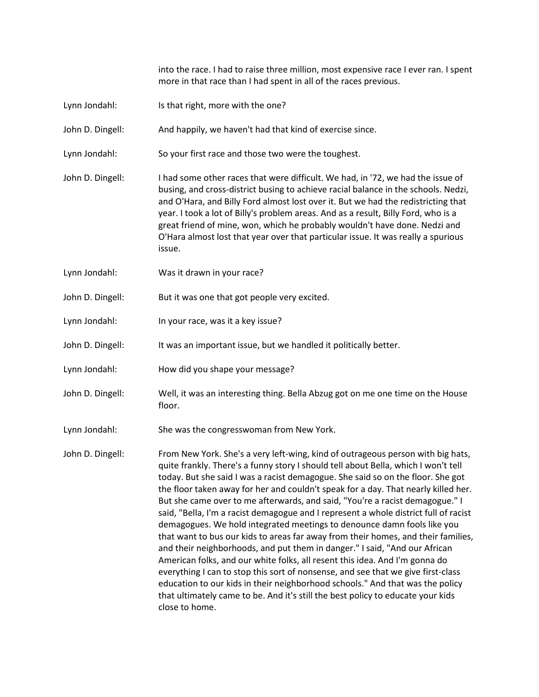into the race. I had to raise three million, most expensive race I ever ran. I spent more in that race than I had spent in all of the races previous.

- Lynn Jondahl: Is that right, more with the one?
- John D. Dingell: And happily, we haven't had that kind of exercise since.
- Lynn Jondahl: So your first race and those two were the toughest.
- John D. Dingell: I had some other races that were difficult. We had, in '72, we had the issue of busing, and cross-district busing to achieve racial balance in the schools. Nedzi, and O'Hara, and Billy Ford almost lost over it. But we had the redistricting that year. I took a lot of Billy's problem areas. And as a result, Billy Ford, who is a great friend of mine, won, which he probably wouldn't have done. Nedzi and O'Hara almost lost that year over that particular issue. It was really a spurious issue.
- Lynn Jondahl: Was it drawn in your race?
- John D. Dingell: But it was one that got people very excited.
- Lynn Jondahl: In your race, was it a key issue?
- John D. Dingell: It was an important issue, but we handled it politically better.
- Lynn Jondahl: How did you shape your message?
- John D. Dingell: Well, it was an interesting thing. Bella Abzug got on me one time on the House floor.
- Lynn Jondahl: She was the congresswoman from New York.
- John D. Dingell: From New York. She's a very left-wing, kind of outrageous person with big hats, quite frankly. There's a funny story I should tell about Bella, which I won't tell today. But she said I was a racist demagogue. She said so on the floor. She got the floor taken away for her and couldn't speak for a day. That nearly killed her. But she came over to me afterwards, and said, "You're a racist demagogue." I said, "Bella, I'm a racist demagogue and I represent a whole district full of racist demagogues. We hold integrated meetings to denounce damn fools like you that want to bus our kids to areas far away from their homes, and their families, and their neighborhoods, and put them in danger." I said, "And our African American folks, and our white folks, all resent this idea. And I'm gonna do everything I can to stop this sort of nonsense, and see that we give first-class education to our kids in their neighborhood schools." And that was the policy that ultimately came to be. And it's still the best policy to educate your kids close to home.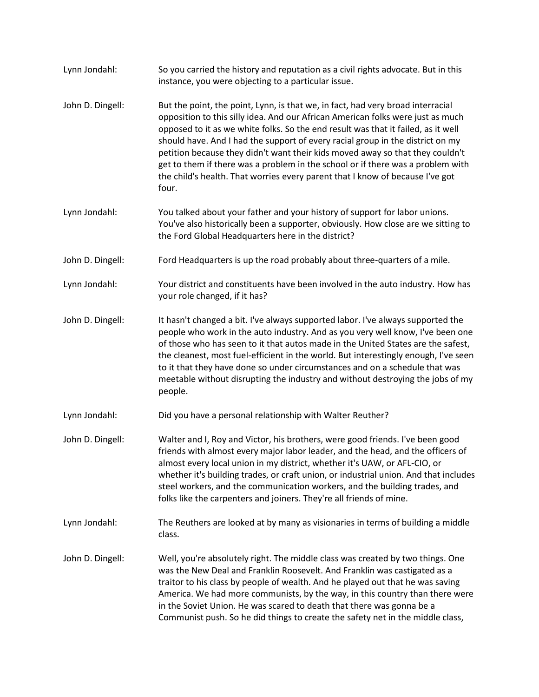| Lynn Jondahl:    | So you carried the history and reputation as a civil rights advocate. But in this<br>instance, you were objecting to a particular issue.                                                                                                                                                                                                                                                                                                                                                                                                                                                                |
|------------------|---------------------------------------------------------------------------------------------------------------------------------------------------------------------------------------------------------------------------------------------------------------------------------------------------------------------------------------------------------------------------------------------------------------------------------------------------------------------------------------------------------------------------------------------------------------------------------------------------------|
| John D. Dingell: | But the point, the point, Lynn, is that we, in fact, had very broad interracial<br>opposition to this silly idea. And our African American folks were just as much<br>opposed to it as we white folks. So the end result was that it failed, as it well<br>should have. And I had the support of every racial group in the district on my<br>petition because they didn't want their kids moved away so that they couldn't<br>get to them if there was a problem in the school or if there was a problem with<br>the child's health. That worries every parent that I know of because I've got<br>four. |
| Lynn Jondahl:    | You talked about your father and your history of support for labor unions.<br>You've also historically been a supporter, obviously. How close are we sitting to<br>the Ford Global Headquarters here in the district?                                                                                                                                                                                                                                                                                                                                                                                   |
| John D. Dingell: | Ford Headquarters is up the road probably about three-quarters of a mile.                                                                                                                                                                                                                                                                                                                                                                                                                                                                                                                               |
| Lynn Jondahl:    | Your district and constituents have been involved in the auto industry. How has<br>your role changed, if it has?                                                                                                                                                                                                                                                                                                                                                                                                                                                                                        |
| John D. Dingell: | It hasn't changed a bit. I've always supported labor. I've always supported the<br>people who work in the auto industry. And as you very well know, I've been one<br>of those who has seen to it that autos made in the United States are the safest,<br>the cleanest, most fuel-efficient in the world. But interestingly enough, I've seen<br>to it that they have done so under circumstances and on a schedule that was<br>meetable without disrupting the industry and without destroying the jobs of my<br>people.                                                                                |
| Lynn Jondahl:    | Did you have a personal relationship with Walter Reuther?                                                                                                                                                                                                                                                                                                                                                                                                                                                                                                                                               |
| John D. Dingell: | Walter and I, Roy and Victor, his brothers, were good friends. I've been good<br>friends with almost every major labor leader, and the head, and the officers of<br>almost every local union in my district, whether it's UAW, or AFL-CIO, or<br>whether it's building trades, or craft union, or industrial union. And that includes<br>steel workers, and the communication workers, and the building trades, and<br>folks like the carpenters and joiners. They're all friends of mine.                                                                                                              |
| Lynn Jondahl:    | The Reuthers are looked at by many as visionaries in terms of building a middle<br>class.                                                                                                                                                                                                                                                                                                                                                                                                                                                                                                               |
| John D. Dingell: | Well, you're absolutely right. The middle class was created by two things. One<br>was the New Deal and Franklin Roosevelt. And Franklin was castigated as a<br>traitor to his class by people of wealth. And he played out that he was saving<br>America. We had more communists, by the way, in this country than there were<br>in the Soviet Union. He was scared to death that there was gonna be a<br>Communist push. So he did things to create the safety net in the middle class,                                                                                                                |